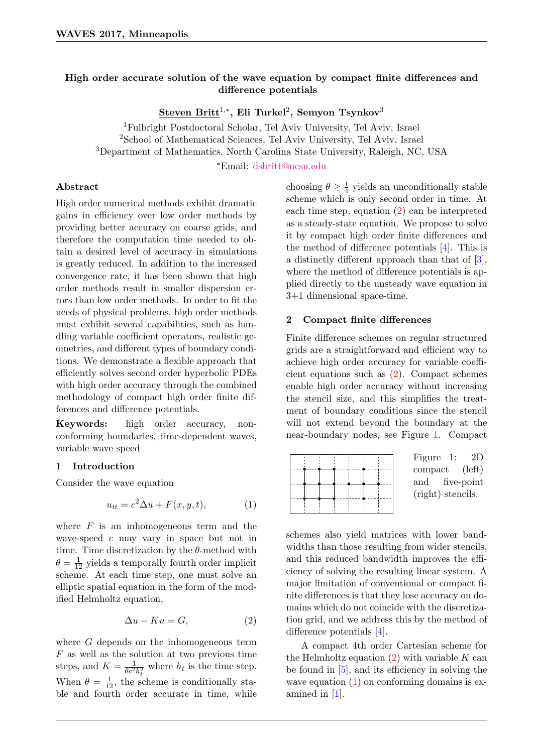# High order accurate solution of the wave equation by compact finite differences and difference potentials

 ${\bf Steven \; Britt}^{1,*},$  Eli Turkel $^2,$  Semyon Tsynkov $^3$ 

<sup>1</sup>Fulbright Postdoctoral Scholar, Tel Aviv University, Tel Aviv, Israel <sup>2</sup>School of Mathematical Sciences, Tel Aviv University, Tel Aviv, Israel <sup>3</sup>Department of Mathematics, North Carolina State University, Raleigh, NC, USA

<sup>∗</sup>Email: [dsbritt@ncsu.edu](mailto:dsbritt@ncsu.edu)

#### Abstract

High order numerical methods exhibit dramatic gains in efficiency over low order methods by providing better accuracy on coarse grids, and therefore the computation time needed to obtain a desired level of accuracy in simulations is greatly reduced. In addition to the increased convergence rate, it has been shown that high order methods result in smaller dispersion errors than low order methods. In order to fit the needs of physical problems, high order methods must exhibit several capabilities, such as handling variable coefficient operators, realistic geometries, and different types of boundary conditions. We demonstrate a flexible approach that efficiently solves second order hyperbolic PDEs with high order accuracy through the combined methodology of compact high order finite differences and difference potentials.

Keywords: high order accuracy, nonconforming boundaries, time-dependent waves, variable wave speed

#### 1 Introduction

Consider the wave equation

<span id="page-0-2"></span>
$$
u_{tt} = c^2 \Delta u + F(x, y, t), \tag{1}
$$

where  $F$  is an inhomogeneous term and the wave-speed  $c$  may vary in space but not in time. Time discretization by the  $\theta$ -method with  $\theta = \frac{1}{12}$  yields a temporally fourth order implicit scheme. At each time step, one must solve an elliptic spatial equation in the form of the modified Helmholtz equation,

<span id="page-0-0"></span>
$$
\Delta u - Ku = G,\tag{2}
$$

where G depends on the inhomogeneous term  $F$  as well as the solution at two previous time steps, and  $K = \frac{1}{\theta_0 2}$  $\frac{1}{\theta c^2 h_t^2}$  where  $h_t$  is the time step. When  $\theta = \frac{1}{12}$ , the scheme is conditionally stable and fourth order accurate in time, while choosing  $\theta \geq \frac{1}{4}$  $\frac{1}{4}$  yields an unconditionally stable scheme which is only second order in time. At each time step, equation [\(2\)](#page-0-0) can be interpreted as a steady-state equation. We propose to solve it by compact high order finite differences and the method of difference potentials [\[4\]](#page-1-0). This is a distinctly different approach than that of [\[3\]](#page-1-1), where the method of difference potentials is applied directly to the unsteady wave equation in 3+1 dimensional space-time.

### 2 Compact finite differences

Finite difference schemes on regular structured grids are a straightforward and efficient way to achieve high order accuracy for variable coefficient equations such as [\(2\)](#page-0-0). Compact schemes enable high order accuracy without increasing the stencil size, and this simplifies the treatment of boundary conditions since the stencil will not extend beyond the boundary at the near-boundary nodes, see Figure [1.](#page-0-1) Compact

<span id="page-0-1"></span>

|  | Figure 1:<br>2D   |
|--|-------------------|
|  | compact (left)    |
|  | and five-point    |
|  | (right) stencils. |
|  |                   |
|  |                   |

schemes also yield matrices with lower bandwidths than those resulting from wider stencils, and this reduced bandwidth improves the efficiency of solving the resulting linear system. A major limitation of conventional or compact finite differences is that they lose accuracy on domains which do not coincide with the discretization grid, and we address this by the method of difference potentials [\[4\]](#page-1-0).

A compact 4th order Cartesian scheme for the Helmholtz equation  $(2)$  with variable K can be found in [\[5\]](#page-1-2), and its efficiency in solving the wave equation  $(1)$  on conforming domains is examined in [\[1\]](#page-1-3).